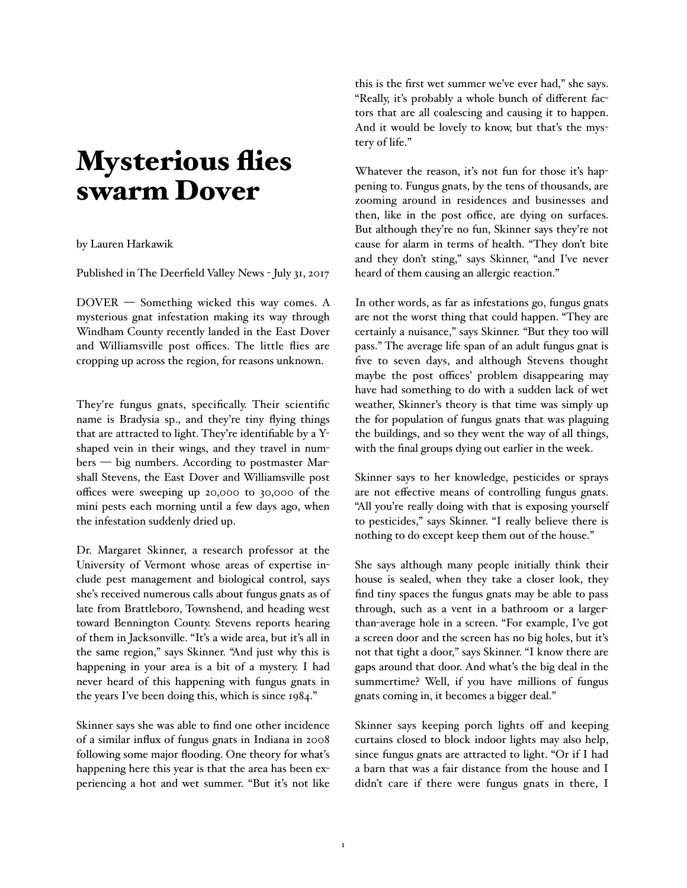## **Mysterious flies** swarm Dover

## by Lauren Harkawik

Published in The Deerfield Valley News - July 31, 2017

DOVER — Something wicked this way comes. A mysterious gnat infestation making its way through Windham County recently landed in the East Dover and Williamsville post offices. The little flies are cropping up across the region, for reasons unknown.

They're fungus gnats, specifically. Their scientific name is Bradysia sp., and they're tiny flying things that are attracted to light. They're identifiable by a Yshaped vein in their wings, and they travel in numbers — big numbers. According to postmaster Marshall Stevens, the East Dover and Williamsville post offices were sweeping up 20,000 to 30,000 of the mini pests each morning until a few days ago, when the infestation suddenly dried up.

Dr. Margaret Skinner, a research professor at the University of Vermont whose areas of expertise include pest management and biological control, says she's received numerous calls about fungus gnats as of late from Brattleboro, Townshend, and heading west toward Bennington County. Stevens reports hearing of them in Jacksonville. "It's a wide area, but it's all in the same region," says Skinner. "And just why this is happening in your area is a bit of a mystery. I had never heard of this happening with fungus gnats in the years I've been doing this, which is since 1984."

Skinner says she was able to find one other incidence of a similar influx of fungus gnats in Indiana in 2008 following some major flooding. One theory for what's happening here this year is that the area has been experiencing a hot and wet summer. "But it's not like this is the first wet summer we've ever had," she says. "Really, it's probably a whole bunch of different factors that are all coalescing and causing it to happen. And it would be lovely to know, but that's the mystery of life."

Whatever the reason, it's not fun for those it's happening to. Fungus gnats, by the tens of thousands, are zooming around in residences and businesses and then, like in the post office, are dying on surfaces. But although they're no fun, Skinner says they're not cause for alarm in terms of health. "They don't bite and they don't sting," says Skinner, "and I've never heard of them causing an allergic reaction."

In other words, as far as infestations go, fungus gnats are not the worst thing that could happen. "They are certainly a nuisance," says Skinner. "But they too will pass." The average life span of an adult fungus gnat is five to seven days, and although Stevens thought maybe the post offices' problem disappearing may have had something to do with a sudden lack of wet weather, Skinner's theory is that time was simply up the for population of fungus gnats that was plaguing the buildings, and so they went the way of all things, with the final groups dying out earlier in the week.

Skinner says to her knowledge, pesticides or sprays are not effective means of controlling fungus gnats. "All you're really doing with that is exposing yourself to pesticides," says Skinner. "I really believe there is nothing to do except keep them out of the house."

She says although many people initially think their house is sealed, when they take a closer look, they find tiny spaces the fungus gnats may be able to pass through, such as a vent in a bathroom or a largerthan-average hole in a screen. "For example, I've got a screen door and the screen has no big holes, but it's not that tight a door," says Skinner. "I know there are gaps around that door. And what's the big deal in the summertime? Well, if you have millions of fungus gnats coming in, it becomes a bigger deal."

Skinner says keeping porch lights off and keeping curtains closed to block indoor lights may also help, since fungus gnats are attracted to light. "Or if I had a barn that was a fair distance from the house and I didn't care if there were fungus gnats in there, I